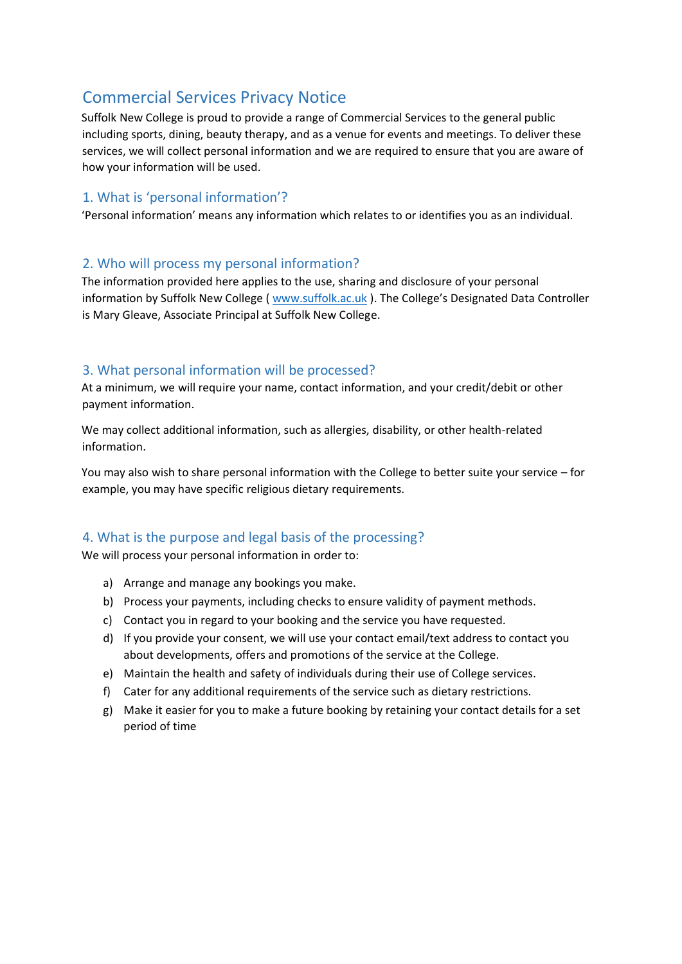# Commercial Services Privacy Notice

Suffolk New College is proud to provide a range of Commercial Services to the general public including sports, dining, beauty therapy, and as a venue for events and meetings. To deliver these services, we will collect personal information and we are required to ensure that you are aware of how your information will be used.

# 1. What is 'personal information'?

'Personal information' means any information which relates to or identifies you as an individual.

#### 2. Who will process my personal information?

The information provided here applies to the use, sharing and disclosure of your personal information by Suffolk New College ( [www.suffolk.ac.uk](http://www.suffolk.ac.uk/) [\)](http://www.suffolk.ac.uk/). The College's Designated Data Controller is Mary Gleave, Associate Principal at Suffolk New College.

# 3. What personal information will be processed?

At a minimum, we will require your name, contact information, and your credit/debit or other payment information.

We may collect additional information, such as allergies, disability, or other health-related information.

You may also wish to share personal information with the College to better suite your service – for example, you may have specific religious dietary requirements.

# 4. What is the purpose and legal basis of the processing?

We will process your personal information in order to:

- a) Arrange and manage any bookings you make.
- b) Process your payments, including checks to ensure validity of payment methods.
- c) Contact you in regard to your booking and the service you have requested.
- d) If you provide your consent, we will use your contact email/text address to contact you about developments, offers and promotions of the service at the College.
- e) Maintain the health and safety of individuals during their use of College services.
- f) Cater for any additional requirements of the service such as dietary restrictions.
- g) Make it easier for you to make a future booking by retaining your contact details for a set period of time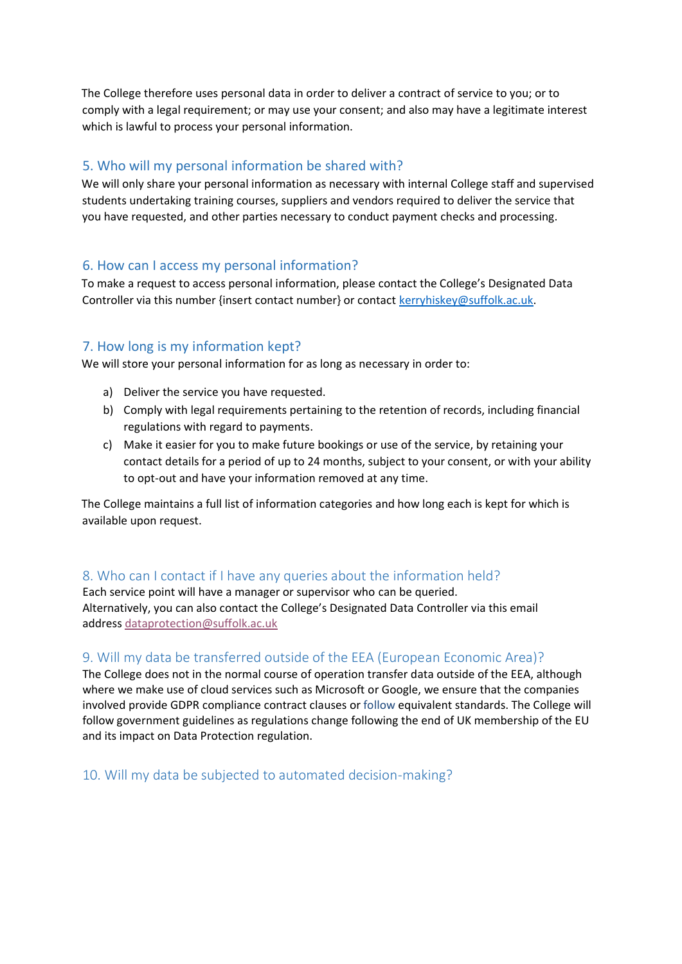The College therefore uses personal data in order to deliver a contract of service to you; or to comply with a legal requirement; or may use your consent; and also may have a legitimate interest which is lawful to process your personal information.

# 5. Who will my personal information be shared with?

We will only share your personal information as necessary with internal College staff and supervised students undertaking training courses, suppliers and vendors required to deliver the service that you have requested, and other parties necessary to conduct payment checks and processing.

#### 6. How can I access my personal information?

To make a request to access personal information, please contact the College's Designated Data Controller via this number {insert contact number} or contact kerryhiskey@suffolk.ac.uk.

# 7. How long is my information kept?

We will store your personal information for as long as necessary in order to:

- a) Deliver the service you have requested.
- b) Comply with legal requirements pertaining to the retention of records, including financial regulations with regard to payments.
- c) Make it easier for you to make future bookings or use of the service, by retaining your contact details for a period of up to 24 months, subject to your consent, or with your ability to opt-out and have your information removed at any time.

The College maintains a full list of information categories and how long each is kept for which is available upon request.

# 8. Who can I contact if I have any queries about the information held?

Each service point will have a manager or supervisor who can be queried. Alternatively, you can also contact the College's Designated Data Controller via this email address [dataprotection@suffolk.ac.uk](mailto:dataprotection@suffolk.ac.uk)

# 9. Will my data be transferred outside of the EEA (European Economic Area)?

The College does not in the normal course of operation transfer data outside of the EEA, although where we make use of cloud services such as Microsoft or Google, we ensure that the companies involved provide GDPR compliance contract clauses or follow equivalent standards. The College will follow government guidelines as regulations change following the end of UK membership of the EU and its impact on Data Protection regulation.

10. Will my data be subjected to automated decision-making?